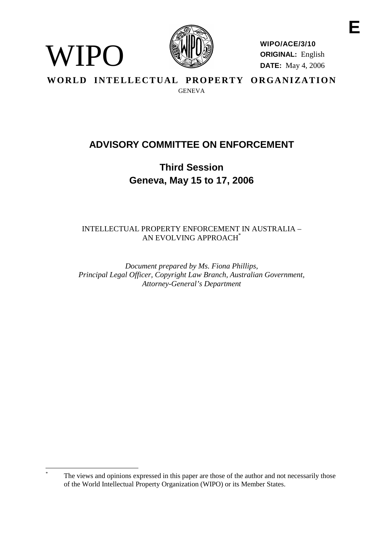

WIPO

**WIPO/ACE/3/10 ORIGINAL:** English **DATE:** May 4, 2006

WORLD INTELLECTUAL PROPERTY ORGANIZATION **GENEVA** 

# **ADVISORY COMMITTEE ON ENFORCEMENT**

**Third Session Geneva, May 15 to 17, 2006**

INTELLECTUAL PROPERTY ENFORCEMENT IN AUSTRALIA – AN EVOLVING APPROACH\*

*Document prepared by Ms. Fiona Phillips, Principal Legal Officer, Copyright Law Branch, Australian Government, Attorney-General's Department*

The views and opinions expressed in this paper are those of the author and not necessarily those of the World Intellectual Property Organization (WIPO) or its Member States.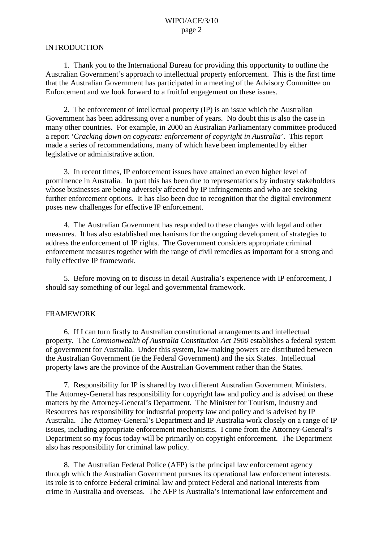#### INTRODUCTION

1. Thank you to the International Bureau for providing this opportunity to outline the Australian Government's approach to intellectual property enforcement. This is the first time that the Australian Government has participated in a meeting of the Advisory Committee on Enforcement and we look forward to a fruitful engagement on these issues.

2. The enforcement of intellectual property (IP) is an issue which the Australian Government has been addressing over a number of years. No doubt this is also the case in many other countries. For example, in 2000 an Australian Parliamentary committee produced a report '*Cracking down on copycats: enforcement of copyright in Australia*'. This report made a series of recommendations, many of which have been implemented by either legislative or administrative action.

3. In recent times, IP enforcement issues have attained an even higher level of prominence in Australia. In part this has been due to representations by industry stakeholders whose businesses are being adversely affected by IP infringements and who are seeking further enforcement options. It has also been due to recognition that the digital environment poses new challenges for effective IP enforcement.

4. The Australian Government has responded to these changes with legal and other measures. It has also established mechanisms for the ongoing development of strategies to address the enforcement of IP rights. The Government considers appropriate criminal enforcement measures together with the range of civil remedies as important for a strong and fully effective IP framework.

5. Before moving on to discuss in detail Australia's experience with IP enforcement, I should say something of our legal and governmental framework.

#### FRAMEWORK

6. If I can turn firstly to Australian constitutional arrangements and intellectual property. The *Commonwealth of Australia Constitution Act 1900* establishes a federal system of government for Australia. Under this system, law-making powers are distributed between the Australian Government (ie the Federal Government) and the six States. Intellectual property laws are the province of the Australian Government rather than the States.

7. Responsibility for IP is shared by two different Australian Government Ministers. The Attorney-General has responsibility for copyright law and policy and is advised on these matters by the Attorney-General's Department. The Minister for Tourism, Industry and Resources has responsibility for industrial property law and policy and is advised by IP Australia. The Attorney-General's Department and IP Australia work closely on a range of IP issues, including appropriate enforcement mechanisms. I come from the Attorney-General's Department so my focus today will be primarily on copyright enforcement. The Department also has responsibility for criminal law policy.

8. The Australian Federal Police (AFP) is the principal law enforcement agency through which the Australian Government pursues its operational law enforcement interests. Its role is to enforce Federal criminal law and protect Federal and national interests from crime in Australia and overseas. The AFP is Australia's international law enforcement and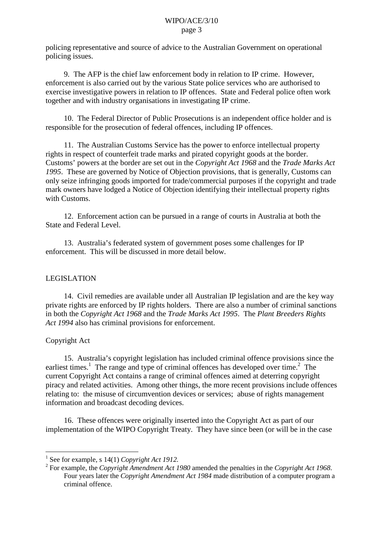policing representative and source of advice to the Australian Government on operational policing issues.

9. The AFP is the chief law enforcement body in relation to IP crime. However, enforcement is also carried out by the various State police services who are authorised to exercise investigative powers in relation to IP offences. State and Federal police often work together and with industry organisations in investigating IP crime.

10. The Federal Director of Public Prosecutions is an independent office holder and is responsible for the prosecution of federal offences, including IP offences.

11. The Australian Customs Service has the power to enforce intellectual property rights in respect of counterfeit trade marks and pirated copyright goods at the border. Customs' powers at the border are set out in the *Copyright Act 1968* and the *Trade Marks Act 1995*. These are governed by Notice of Objection provisions, that is generally, Customs can only seize infringing goods imported for trade/commercial purposes if the copyright and trade mark owners have lodged a Notice of Objection identifying their intellectual property rights with Customs.

12. Enforcement action can be pursued in a range of courts in Australia at both the State and Federal Level.

13. Australia's federated system of government poses some challenges for IP enforcement. This will be discussed in more detail below.

# LEGISLATION

14. Civil remedies are available under all Australian IP legislation and are the key way private rights are enforced by IP rights holders. There are also a number of criminal sanctions in both the *Copyright Act 1968* and the *Trade Marks Act 1995*. The *Plant Breeders Rights Act 1994* also has criminal provisions for enforcement.

#### Copyright Act

15. Australia's copyright legislation has included criminal offence provisions since the earliest times.<sup>1</sup> The range and type of criminal offences has developed over time.<sup>2</sup> The current Copyright Act contains a range of criminal offences aimed at deterring copyright piracy and related activities. Among other things, the more recent provisions include offences relating to: the misuse of circumvention devices or services; abuse of rights management information and broadcast decoding devices.

16. These offences were originally inserted into the Copyright Act as part of our implementation of the WIPO Copyright Treaty. They have since been (or will be in the case

<sup>1</sup> See for example, s 14(1) *Copyright Act 1912.*

<sup>2</sup> For example, the *Copyright Amendment Act 1980* amended the penalties in the *Copyright Act 1968*. Four years later the *Copyright Amendment Act 1984* made distribution of a computer program a criminal offence.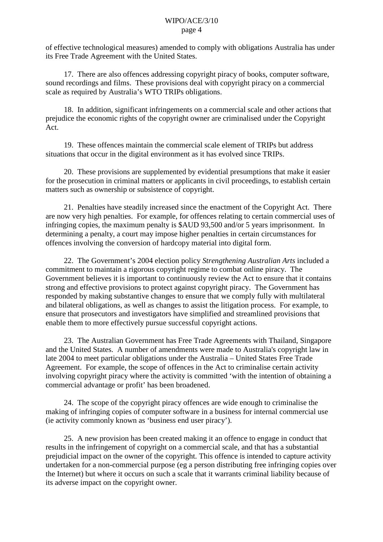of effective technological measures) amended to comply with obligations Australia has under its Free Trade Agreement with the United States.

17. There are also offences addressing copyright piracy of books, computer software, sound recordings and films. These provisions deal with copyright piracy on a commercial scale as required by Australia's WTO TRIPs obligations.

18. In addition, significant infringements on a commercial scale and other actions that prejudice the economic rights of the copyright owner are criminalised under the Copyright Act.

19. These offences maintain the commercial scale element of TRIPs but address situations that occur in the digital environment as it has evolved since TRIPs.

20. These provisions are supplemented by evidential presumptions that make it easier for the prosecution in criminal matters or applicants in civil proceedings, to establish certain matters such as ownership or subsistence of copyright.

21. Penalties have steadily increased since the enactment of the Copyright Act. There are now very high penalties. For example, for offences relating to certain commercial uses of infringing copies, the maximum penalty is \$AUD 93,500 and/or 5 years imprisonment. In determining a penalty, a court may impose higher penalties in certain circumstances for offences involving the conversion of hardcopy material into digital form.

22. The Government's 2004 election policy *Strengthening Australian Arts* included a commitment to maintain a rigorous copyright regime to combat online piracy. The Government believes it is important to continuously review the Act to ensure that it contains strong and effective provisions to protect against copyright piracy. The Government has responded by making substantive changes to ensure that we comply fully with multilateral and bilateral obligations, as well as changes to assist the litigation process. For example, to ensure that prosecutors and investigators have simplified and streamlined provisions that enable them to more effectively pursue successful copyright actions.

23. The Australian Government has Free Trade Agreements with Thailand, Singapore and the United States. A number of amendments were made to Australia's copyright law in late 2004 to meet particular obligations under the Australia – United States Free Trade Agreement. For example, the scope of offences in the Act to criminalise certain activity involving copyright piracy where the activity is committed 'with the intention of obtaining a commercial advantage or profit' has been broadened.

24. The scope of the copyright piracy offences are wide enough to criminalise the making of infringing copies of computer software in a business for internal commercial use (ie activity commonly known as 'business end user piracy').

25. A new provision has been created making it an offence to engage in conduct that results in the infringement of copyright on a commercial scale, and that has a substantial prejudicial impact on the owner of the copyright. This offence is intended to capture activity undertaken for a non-commercial purpose (eg a person distributing free infringing copies over the Internet) but where it occurs on such a scale that it warrants criminal liability because of its adverse impact on the copyright owner.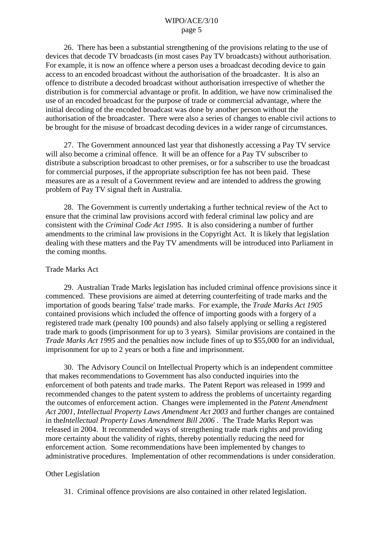26. There has been a substantial strengthening of the provisions relating to the use of devices that decode TV broadcasts (in most cases Pay TV broadcasts) without authorisation. For example, it is now an offence where a person uses a broadcast decoding device to gain access to an encoded broadcast without the authorisation of the broadcaster. It is also an offence to distribute a decoded broadcast without authorisation irrespective of whether the distribution is for commercial advantage or profit. In addition, we have now criminalised the use of an encoded broadcast for the purpose of trade or commercial advantage, where the initial decoding of the encoded broadcast was done by another person without the authorisation of the broadcaster. There were also a series of changes to enable civil actions to be brought for the misuse of broadcast decoding devices in a wider range of circumstances.

27. The Government announced last year that dishonestly accessing a Pay TV service will also become a criminal offence. It will be an offence for a Pay TV subscriber to distribute a subscription broadcast to other premises, or for a subscriber to use the broadcast for commercial purposes, if the appropriate subscription fee has not been paid. These measures are as a result of a Government review and are intended to address the growing problem of Pay TV signal theft in Australia.

28. The Government is currently undertaking a further technical review of the Act to ensure that the criminal law provisions accord with federal criminal law policy and are consistent with the *Criminal Code Act 1995*. It is also considering a number of further amendments to the criminal law provisions in the Copyright Act. It is likely that legislation dealing with these matters and the Pay TV amendments will be introduced into Parliament in the coming months.

#### Trade Marks Act

29. Australian Trade Marks legislation has included criminal offence provisions since it commenced. These provisions are aimed at deterring counterfeiting of trade marks and the importation of goods bearing 'false' trade marks. For example, the *Trade Marks Act 1905*  contained provisions which included the offence of importing goods with a forgery of a registered trade mark (penalty 100 pounds) and also falsely applying or selling a registered trade mark to goods (imprisonment for up to 3 years). Similar provisions are contained in the *Trade Marks Act 1995* and the penalties now include fines of up to \$55,000 for an individual, imprisonment for up to 2 years or both a fine and imprisonment.

30. The Advisory Council on Intellectual Property which is an independent committee that makes recommendations to Government has also conducted inquiries into the enforcement of both patents and trade marks. The Patent Report was released in 1999 and recommended changes to the patent system to address the problems of uncertainty regarding the outcomes of enforcement action. Changes were implemented in the *Patent Amendment Act 2001*, *Intellectual Property Laws Amendment Act 2003* and further changes are contained in the *Intellectual Property Laws Amendment Bill 2006* . The Trade Marks Report was released in 2004. It recommended ways of strengthening trade mark rights and providing more certainty about the validity of rights, thereby potentially reducing the need for enforcement action. Some recommendations have been implemented by changes to administrative procedures. Implementation of other recommendations is under consideration.

#### Other Legislation

31. Criminal offence provisions are also contained in other related legislation.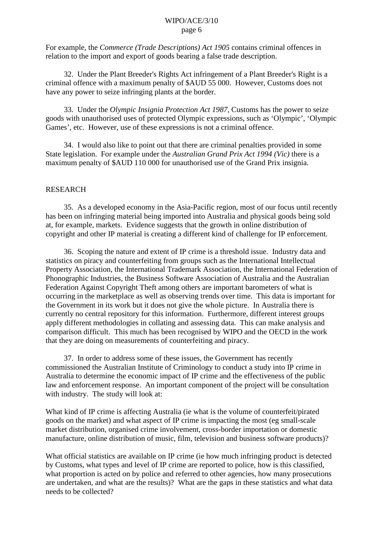For example, the *Commerce (Trade Descriptions) Act 1905* contains criminal offences in relation to the import and export of goods bearing a false trade description.

32. Under the Plant Breeder's Rights Act infringement of a Plant Breeder's Right is a criminal offence with a maximum penalty of \$AUD 55 000. However, Customs does not have any power to seize infringing plants at the border.

33. Under the *Olympic Insignia Protection Act 1987*, Customs has the power to seize goods with unauthorised uses of protected Olympic expressions, such as 'Olympic', 'Olympic Games', etc. However, use of these expressions is not a criminal offence.

34. I would also like to point out that there are criminal penalties provided in some State legislation. For example under the *Australian Grand Prix Act 1994 (Vic)* there is a maximum penalty of \$AUD 110 000 for unauthorised use of the Grand Prix insignia.

#### RESEARCH

35. As a developed economy in the Asia-Pacific region, most of our focus until recently has been on infringing material being imported into Australia and physical goods being sold at, for example, markets. Evidence suggests that the growth in online distribution of copyright and other IP material is creating a different kind of challenge for IP enforcement.

36. Scoping the nature and extent of IP crime is a threshold issue. Industry data and statistics on piracy and counterfeiting from groups such as the International Intellectual Property Association, the International Trademark Association, the International Federation of Phonographic Industries, the Business Software Association of Australia and the Australian Federation Against Copyright Theft among others are important barometers of what is occurring in the marketplace as well as observing trends over time. This data is important for the Government in its work but it does not give the whole picture. In Australia there is currently no central repository for this information. Furthermore, different interest groups apply different methodologies in collating and assessing data. This can make analysis and comparison difficult. This much has been recognised by WIPO and the OECD in the work that they are doing on measurements of counterfeiting and piracy.

37. In order to address some of these issues, the Government has recently commissioned the Australian Institute of Criminology to conduct a study into IP crime in Australia to determine the economic impact of IP crime and the effectiveness of the public law and enforcement response. An important component of the project will be consultation with industry. The study will look at:

What kind of IP crime is affecting Australia (ie what is the volume of counterfeit/pirated goods on the market) and what aspect of IP crime is impacting the most (eg small-scale market distribution, organised crime involvement, cross-border importation or domestic manufacture, online distribution of music, film, television and business software products)?

What official statistics are available on IP crime (ie how much infringing product is detected by Customs, what types and level of IP crime are reported to police, how is this classified, what proportion is acted on by police and referred to other agencies, how many prosecutions are undertaken, and what are the results)? What are the gaps in these statistics and what data needs to be collected?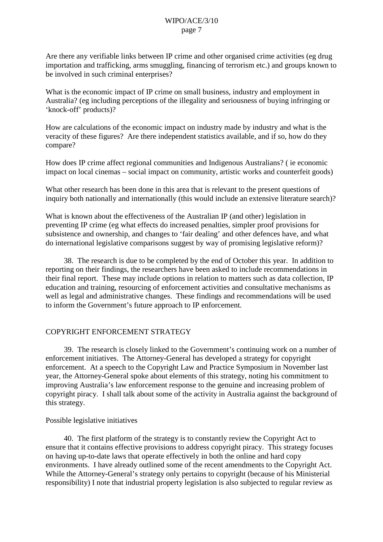Are there any verifiable links between IP crime and other organised crime activities (eg drug importation and trafficking, arms smuggling, financing of terrorism etc.) and groups known to be involved in such criminal enterprises?

What is the economic impact of IP crime on small business, industry and employment in Australia? (eg including perceptions of the illegality and seriousness of buying infringing or 'knock-off' products)?

How are calculations of the economic impact on industry made by industry and what is the veracity of these figures? Are there independent statistics available, and if so, how do they compare?

How does IP crime affect regional communities and Indigenous Australians? ( ie economic impact on local cinemas – social impact on community, artistic works and counterfeit goods)

What other research has been done in this area that is relevant to the present questions of inquiry both nationally and internationally (this would include an extensive literature search)?

What is known about the effectiveness of the Australian IP (and other) legislation in preventing IP crime (eg what effects do increased penalties, simpler proof provisions for subsistence and ownership, and changes to 'fair dealing' and other defences have, and what do international legislative comparisons suggest by way of promising legislative reform)?

38. The research is due to be completed by the end of October this year. In addition to reporting on their findings, the researchers have been asked to include recommendations in their final report. These may include options in relation to matters such as data collection, IP education and training, resourcing of enforcement activities and consultative mechanisms as well as legal and administrative changes. These findings and recommendations will be used to inform the Government's future approach to IP enforcement.

#### COPYRIGHT ENFORCEMENT STRATEGY

39. The research is closely linked to the Government's continuing work on a number of enforcement initiatives. The Attorney-General has developed a strategy for copyright enforcement. At a speech to the Copyright Law and Practice Symposium in November last year, the Attorney-General spoke about elements of this strategy, noting his commitment to improving Australia's law enforcement response to the genuine and increasing problem of copyright piracy. I shall talk about some of the activity in Australia against the background of this strategy.

#### Possible legislative initiatives

40. The first platform of the strategy is to constantly review the Copyright Act to ensure that it contains effective provisions to address copyright piracy. This strategy focuses on having up-to-date laws that operate effectively in both the online and hard copy environments. I have already outlined some of the recent amendments to the Copyright Act. While the Attorney-General's strategy only pertains to copyright (because of his Ministerial responsibility) I note that industrial property legislation is also subjected to regular review as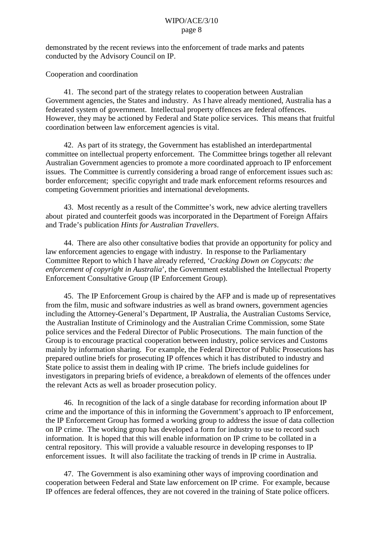demonstrated by the recent reviews into the enforcement of trade marks and patents conducted by the Advisory Council on IP.

Cooperation and coordination

41. The second part of the strategy relates to cooperation between Australian Government agencies, the States and industry. As I have already mentioned, Australia has a federated system of government. Intellectual property offences are federal offences. However, they may be actioned by Federal and State police services. This means that fruitful coordination between law enforcement agencies is vital.

42. As part of its strategy, the Government has established an interdepartmental committee on intellectual property enforcement. The Committee brings together all relevant Australian Government agencies to promote a more coordinated approach to IP enforcement issues. The Committee is currently considering a broad range of enforcement issues such as: border enforcement; specific copyright and trade mark enforcement reforms resources and competing Government priorities and international developments.

43. Most recently as a result of the Committee's work, new advice alerting travellers about pirated and counterfeit goods was incorporated in the Department of Foreign Affairs and Trade's publication *Hints for Australian Travellers*.

44. There are also other consultative bodies that provide an opportunity for policy and law enforcement agencies to engage with industry. In response to the Parliamentary Committee Report to which I have already referred, '*Cracking Down on Copycats: the enforcement of copyright in Australia*', the Government established the Intellectual Property Enforcement Consultative Group (IP Enforcement Group).

45. The IP Enforcement Group is chaired by the AFP and is made up of representatives from the film, music and software industries as well as brand owners, government agencies including the Attorney-General's Department, IP Australia, the Australian Customs Service, the Australian Institute of Criminology and the Australian Crime Commission, some State police services and the Federal Director of Public Prosecutions. The main function of the Group is to encourage practical cooperation between industry, police services and Customs mainly by information sharing. For example, the Federal Director of Public Prosecutions has prepared outline briefs for prosecuting IP offences which it has distributed to industry and State police to assist them in dealing with IP crime. The briefs include guidelines for investigators in preparing briefs of evidence, a breakdown of elements of the offences under the relevant Acts as well as broader prosecution policy.

46. In recognition of the lack of a single database for recording information about IP crime and the importance of this in informing the Government's approach to IP enforcement, the IP Enforcement Group has formed a working group to address the issue of data collection on IP crime. The working group has developed a form for industry to use to record such information. It is hoped that this will enable information on IP crime to be collated in a central repository. This will provide a valuable resource in developing responses to IP enforcement issues. It will also facilitate the tracking of trends in IP crime in Australia.

47. The Government is also examining other ways of improving coordination and cooperation between Federal and State law enforcement on IP crime. For example, because IP offences are federal offences, they are not covered in the training of State police officers.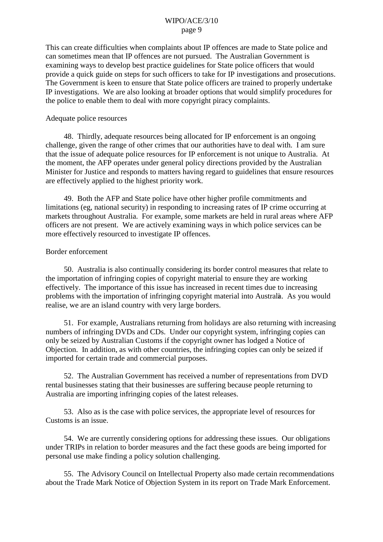This can create difficulties when complaints about IP offences are made to State police and can sometimes mean that IP offences are not pursued. The Australian Government is examining ways to develop best practice guidelines for State police officers that would provide a quick guide on steps for such officers to take for IP investigations and prosecutions. The Government is keen to ensure that State police officers are trained to properly undertake IP investigations. We are also looking at broader options that would simplify procedures for the police to enable them to deal with more copyright piracy complaints.

#### Adequate police resources

48. Thirdly, adequate resources being allocated for IP enforcement is an ongoing challenge, given the range of other crimes that our authorities have to deal with. I am sure that the issue of adequate police resources for IP enforcement is not unique to Australia. At the moment, the AFP operates under general policy directions provided by the Australian Minister for Justice and responds to matters having regard to guidelines that ensure resources are effectively applied to the highest priority work.

49. Both the AFP and State police have other higher profile commitments and limitations (eg, national security) in responding to increasing rates of IP crime occurring at markets throughout Australia. For example, some markets are held in rural areas where AFP officers are not present. We are actively examining ways in which police services can be more effectively resourced to investigate IP offences.

#### Border enforcement

50. Australia is also continually considering its border control measures that relate to the importation of infringing copies of copyright material to ensure they are working effectively. The importance of this issue has increased in recent times due to increasing problems with the importation of infringing copyright material into Australia. As you would realise, we are an island country with very large borders.

51. For example, Australians returning from holidays are also returning with increasing numbers of infringing DVDs and CDs. Under our copyright system, infringing copies can only be seized by Australian Customs if the copyright owner has lodged a Notice of Objection. In addition, as with other countries, the infringing copies can only be seized if imported for certain trade and commercial purposes.

52. The Australian Government has received a number of representations from DVD rental businesses stating that their businesses are suffering because people returning to Australia are importing infringing copies of the latest releases.

53. Also as is the case with police services, the appropriate level of resources for Customs is an issue.

54. We are currently considering options for addressing these issues. Our obligations under TRIPs in relation to border measures and the fact these goods are being imported for personal use make finding a policy solution challenging.

55. The Advisory Council on Intellectual Property also made certain recommendations about the Trade Mark Notice of Objection System in its report on Trade Mark Enforcement.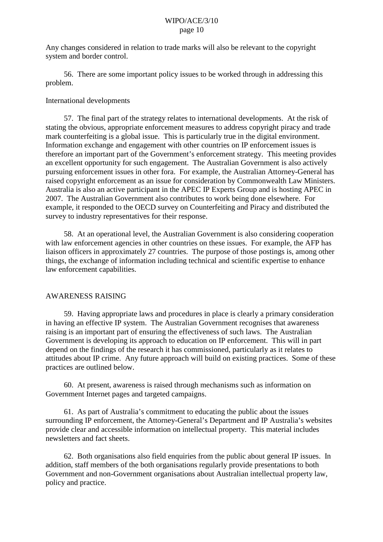Any changes considered in relation to trade marks will also be relevant to the copyright system and border control.

56. There are some important policy issues to be worked through in addressing this problem.

#### International developments

57. The final part of the strategy relates to international developments. At the risk of stating the obvious, appropriate enforcement measures to address copyright piracy and trade mark counterfeiting is a global issue. This is particularly true in the digital environment. Information exchange and engagement with other countries on IP enforcement issues is therefore an important part of the Government's enforcement strategy. This meeting provides an excellent opportunity for such engagement. The Australian Government is also actively pursuing enforcement issues in other fora. For example, the Australian Attorney-General has raised copyright enforcement as an issue for consideration by Commonwealth Law Ministers. Australia is also an active participant in the APEC IP Experts Group and is hosting APEC in 2007. The Australian Government also contributes to work being done elsewhere. For example, it responded to the OECD survey on Counterfeiting and Piracy and distributed the survey to industry representatives for their response.

58. At an operational level, the Australian Government is also considering cooperation with law enforcement agencies in other countries on these issues. For example, the AFP has liaison officers in approximately 27 countries. The purpose of those postings is, among other things, the exchange of information including technical and scientific expertise to enhance law enforcement capabilities.

#### AWARENESS RAISING

59. Having appropriate laws and procedures in place is clearly a primary consideration in having an effective IP system. The Australian Government recognises that awareness raising is an important part of ensuring the effectiveness of such laws. The Australian Government is developing its approach to education on IP enforcement. This will in part depend on the findings of the research it has commissioned, particularly as it relates to attitudes about IP crime. Any future approach will build on existing practices. Some of these practices are outlined below.

60. At present, awareness is raised through mechanisms such as information on Government Internet pages and targeted campaigns.

61. As part of Australia's commitment to educating the public about the issues surrounding IP enforcement, the Attorney-General's Department and IP Australia's websites provide clear and accessible information on intellectual property. This material includes newsletters and fact sheets.

62. Both organisations also field enquiries from the public about general IP issues. In addition, staff members of the both organisations regularly provide presentations to both Government and non-Government organisations about Australian intellectual property law, policy and practice.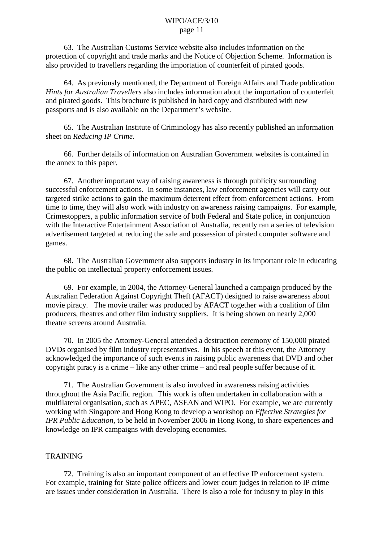63. The Australian Customs Service website also includes information on the protection of copyright and trade marks and the Notice of Objection Scheme. Information is also provided to travellers regarding the importation of counterfeit of pirated goods.

64. As previously mentioned, the Department of Foreign Affairs and Trade publication *Hints for Australian Travellers* also includes information about the importation of counterfeit and pirated goods. This brochure is published in hard copy and distributed with new passports and is also available on the Department's website.

65. The Australian Institute of Criminology has also recently published an information sheet on *Reducing IP Crime*.

66. Further details of information on Australian Government websites is contained in the annex to this paper.

67. Another important way of raising awareness is through publicity surrounding successful enforcement actions. In some instances, law enforcement agencies will carry out targeted strike actions to gain the maximum deterrent effect from enforcement actions. From time to time, they will also work with industry on awareness raising campaigns. For example, Crimestoppers, a public information service of both Federal and State police, in conjunction with the Interactive Entertainment Association of Australia, recently ran a series of television advertisement targeted at reducing the sale and possession of pirated computer software and games.

68. The Australian Government also supports industry in its important role in educating the public on intellectual property enforcement issues.

69. For example, in 2004, the Attorney-General launched a campaign produced by the Australian Federation Against Copyright Theft (AFACT) designed to raise awareness about movie piracy. The movie trailer was produced by AFACT together with a coalition of film producers, theatres and other film industry suppliers. It is being shown on nearly 2,000 theatre screens around Australia.

70. In 2005 the Attorney-General attended a destruction ceremony of 150,000 pirated DVDs organised by film industry representatives. In his speech at this event, the Attorney acknowledged the importance of such events in raising public awareness that DVD and other copyright piracy is a crime – like any other crime – and real people suffer because of it.

71. The Australian Government is also involved in awareness raising activities throughout the Asia Pacific region. This work is often undertaken in collaboration with a multilateral organisation, such as APEC, ASEAN and WIPO. For example, we are currently working with Singapore and Hong Kong to develop a workshop on *Effective Strategies for IPR Public Education*, to be held in November 2006 in Hong Kong, to share experiences and knowledge on IPR campaigns with developing economies.

#### **TRAINING**

72. Training is also an important component of an effective IP enforcement system. For example, training for State police officers and lower court judges in relation to IP crime are issues under consideration in Australia. There is also a role for industry to play in this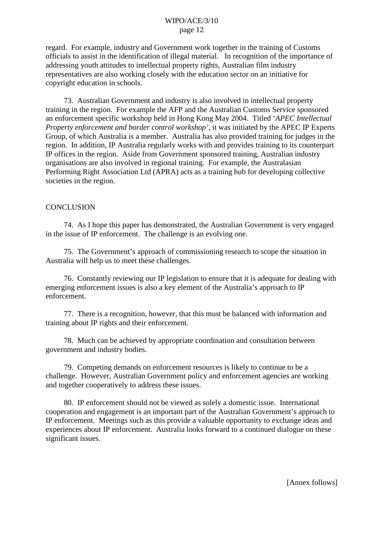regard. For example, industry and Government work together in the training of Customs officials to assist in the identification of illegal material. In recognition of the importance of addressing youth attitudes to intellectual property rights, Australian film industry representatives are also working closely with the education sector on an initiative for copyright education in schools.

73. Australian Government and industry is also involved in intellectual property training in the region. For example the AFP and the Australian Customs Service sponsored an enforcement specific workshop held in Hong Kong May 2004. Titled '*APEC Intellectual Property enforcement and border control workshop'*, it was initiated by the APEC IP Experts Group, of which Australia is a member. Australia has also provided training for judges in the region. In addition, IP Australia regularly works with and provides training to its counterpart IP offices in the region. Aside from Government sponsored training, Australian industry organisations are also involved in regional training. For example, the Australasian Performing Right Association Ltd (APRA) acts as a training hub for developing collective societies in the region.

#### **CONCLUSION**

74. As I hope this paper has demonstrated, the Australian Government is very engaged in the issue of IP enforcement. The challenge is an evolving one.

75. The Government's approach of commissioning research to scope the situation in Australia will help us to meet these challenges.

76. Constantly reviewing our IP legislation to ensure that it is adequate for dealing with emerging enforcement issues is also a key element of the Australia's approach to IP enforcement.

77. There is a recognition, however, that this must be balanced with information and training about IP rights and their enforcement.

78. Much can be achieved by appropriate coordination and consultation between government and industry bodies.

79. Competing demands on enforcement resources is likely to continue to be a challenge. However, Australian Government policy and enforcement agencies are working and together cooperatively to address these issues.

80. IP enforcement should not be viewed as solely a domestic issue. International cooperation and engagement is an important part of the Australian Government's approach to IP enforcement. Meetings such as this provide a valuable opportunity to exchange ideas and experiences about IP enforcement. Australia looks forward to a continued dialogue on these significant issues.

[Annex follows]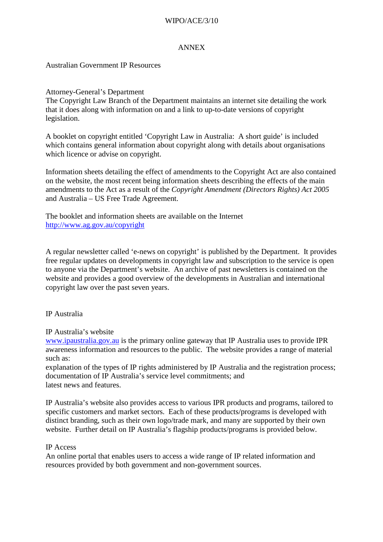# WIPO/ACE/3/10

## ANNEX

# Australian Government IP Resources

Attorney-General's Department

The Copyright Law Branch of the Department maintains an internet site detailing the work that it does along with information on and a link to up-to-date versions of copyright legislation.

A booklet on copyright entitled 'Copyright Law in Australia: A short guide' is included which contains general information about copyright along with details about organisations which licence or advise on copyright.

Information sheets detailing the effect of amendments to the Copyright Act are also contained on the website, the most recent being information sheets describing the effects of the main amendments to the Act as a result of the *Copyright Amendment (Directors Rights) Act 2005*  and Australia – US Free Trade Agreement.

The booklet and information sheets are available on the Internet <http://www.ag.gov.au/copyright>

A regular newsletter called 'e-news on copyright' is published by the Department. It provides free regular updates on developments in copyright law and subscription to the service is open to anyone via the Department's website. An archive of past newsletters is contained on the website and provides a good overview of the developments in Australian and international copyright law over the past seven years.

# IP Australia

# IP Australia's website

[www.ipaustralia.gov.au](http://www.ipaustralia.gov.au/) is the primary online gateway that IP Australia uses to provide IPR awareness information and resources to the public. The website provides a range of material such as:

explanation of the types of IP rights administered by IP Australia and the registration process; documentation of IP Australia's service level commitments; and latest news and features.

IP Australia's website also provides access to various IPR products and programs, tailored to specific customers and market sectors. Each of these products/programs is developed with distinct branding, such as their own logo/trade mark, and many are supported by their own website. Further detail on IP Australia's flagship products/programs is provided below.

#### IP Access

An online portal that enables users to access a wide range of IP related information and resources provided by both government and non-government sources.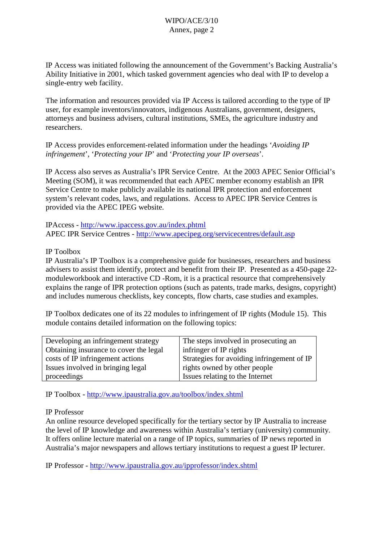IP Access was initiated following the announcement of the Government's Backing Australia's Ability Initiative in 2001, which tasked government agencies who deal with IP to develop a single-entry web facility.

The information and resources provided via IP Access is tailored according to the type of IP user, for example inventors/innovators, indigenous Australians, government, designers, attorneys and business advisers, cultural institutions, SMEs, the agriculture industry and researchers.

IP Access provides enforcement-related information under the headings '*Avoiding IP infringement*', '*Protecting your IP*' and '*Protecting your IP overseas*'.

IP Access also serves as Australia's IPR Service Centre. At the 2003 APEC Senior Official's Meeting (SOM), it was recommended that each APEC member economy establish an IPR Service Centre to make publicly available its national IPR protection and enforcement system's relevant codes, laws, and regulations. Access to APEC IPR Service Centres is provided via the APEC IPEG website.

IPAccess - <http://www.ipaccess.gov.au/index.phtml> APEC IPR Service Centres - <http://www.apecipeg.org/servicecentres/default.asp>

# IP Toolbox

IP Australia's IP Toolbox is a comprehensive guide for businesses, researchers and business advisers to assist them identify, protect and benefit from their IP. Presented as a 450-page 22 module workbook and interactive CD -Rom, it is a practical resource that comprehensively explains the range of IPR protection options (such as patents, trade marks, designs, copyright) and includes numerous checklists, key concepts, flow charts, case studies and examples.

IP Toolbox dedicates one of its 22 modules to infringement of IP rights (Module 15). This module contains detailed information on the following topics:

| Developing an infringement strategy    | The steps involved in prosecuting an       |
|----------------------------------------|--------------------------------------------|
| Obtaining insurance to cover the legal | infringer of IP rights                     |
| costs of IP infringement actions       | Strategies for avoiding infringement of IP |
| Issues involved in bringing legal      | rights owned by other people               |
| proceedings                            | Issues relating to the Internet            |

IP Toolbox - <http://www.ipaustralia.gov.au/toolbox/index.shtml>

#### IP Professor

An online resource developed specifically for the tertiary sector by IP Australia to increase the level of IP knowledge and awareness within Australia's tertiary (university) community. It offers online lecture material on a range of IP topics, summaries of IP news reported in Australia's major newspapers and allows tertiary institutions to request a guest IP lecturer.

IP Professor - <http://www.ipaustralia.gov.au/ipprofessor/index.shtml>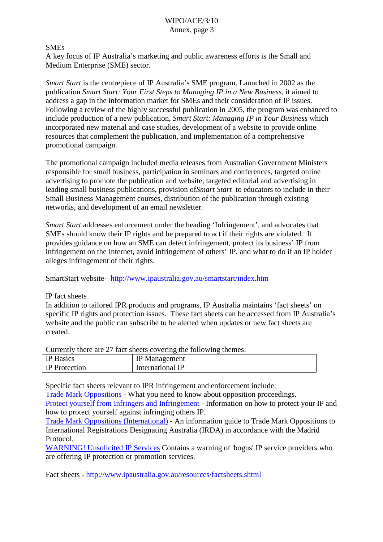# SMEs

A key focus of IP Australia's marketing and public awareness efforts is the Small and Medium Enterprise (SME) sector.

*Smart Start* is the centrepiece of IP Australia's SME program. Launched in 2002 as the publication *Smart Start: Your First Steps to Managing IP in a New Business*, it aimed to address a gap in the information market for SMEs and their consideration of IP issues. Following a review of the highly successful publication in 2005, the program was enhanced to include production of a new publication, *Smart Start: Managing IP in Your Business* which incorporated new material and case studies, development of a website to provide online resources that complement the publication, and implementation of a comprehensive promotional campaign.

The promotional campaign included media releases from Australian Government Ministers responsible for small business, participation in seminars and conferences, targeted online advertising to promote the publication and website, targeted editorial and advertising in leading small business publications, provision of *Smart Start* to educators to include in their Small Business Management courses, distribution of the publication through existing networks, and development of an email newsletter.

*Smart Start* addresses enforcement under the heading 'Infringement', and advocates that SMEs should know their IP rights and be prepared to act if their rights are violated. It provides guidance on how an SME can detect infringement, protect its business' IP from infringement on the Internet, avoid infringement of others' IP, and what to do if an IP holder alleges infringement of their rights.

SmartStart website- <http://www.ipaustralia.gov.au/smartstart/index.htm>

#### IP fact sheets

In addition to tailored IPR products and programs, IP Australia maintains 'fact sheets' on specific IP rights and protection issues. These fact sheets can be accessed from IP Australia's website and the public can subscribe to be alerted when updates or new fact sheets are created.

Currently there are 27 fact sheets covering the following themes:

| <b>IP</b> Basics     | <b>IP</b> Management |
|----------------------|----------------------|
| <b>IP</b> Protection | International IP     |

Specific fact sheets relevant to IPR infringement and enforcement include:

[Trade Mark Oppositions](http://www.ipaustralia.gov.au/factsheets/tm_oppostion.shtml) - What you need to know about opposition proceedings. [Protect yourself from Infringers and Infringement](http://www.ipaustralia.gov.au/factsheets/protect_from_infringe.shtml) - Information on how to protect your IP and how to protect yourself against infringing others IP.

[Trade Mark Oppositions \(International\)](http://www.ipaustralia.gov.au/factsheets/tm_oppostion.shtml) - An information guide to Trade Mark Oppositions to International Registrations Designating Australia (IRDA) in accordance with the Madrid Protocol.

[WARNING! Unsolicited IP Services](http://www.ipaustralia.gov.au/factsheets/unsolicited_ip.shtml) Contains a warning of 'bogus' IP service providers who are offering IP protection or promotion services.

Fact sheets - <http://www.ipaustralia.gov.au/resources/factsheets.shtml>